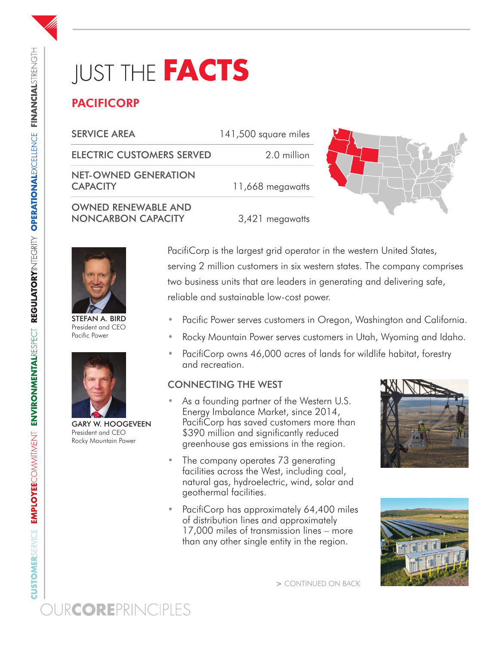# **IUST THE FACTS**

## PACIFICORP

| <b>SERVICE AREA</b>                                     | 141,500 square miles |  |
|---------------------------------------------------------|----------------------|--|
| <b>ELECTRIC CUSTOMERS SERVED</b>                        | 2.0 million          |  |
| <b>NET-OWNED GENERATION</b><br><b>CAPACITY</b>          | 11,668 megawatts     |  |
| <b>OWNED RENEWABLE AND</b><br><b>NONCARBON CAPACITY</b> | 3,421 megawatts      |  |



STEFAN A. BIRD President and CEO Pacific Power



GARY W. HOOGEVEEN President and CEO Rocky Mountain Power

PacifiCorp is the largest grid operator in the western United States, serving 2 million customers in six western states. The company comprises two business units that are leaders in generating and delivering safe, reliable and sustainable low-cost power.

- Pacific Power serves customers in Oregon, Washington and California.
- Rocky Mountain Power serves customers in Utah, Wyoming and Idaho.
- PacifiCorp owns 46,000 acres of lands for wildlife habitat, forestry and recreation.

#### CONNECTING THE WEST

- As a founding partner of the Western U.S. Energy Imbalance Market, since 2014, PacifiCorp has saved customers more than \$390 million and significantly reduced greenhouse gas emissions in the region.
- The company operates 73 generating facilities across the West, including coal, natural gas, hydroelectric, wind, solar and geothermal facilities.
- PacifiCorp has approximately 64,400 miles of distribution lines and approximately 17,000 miles of transmission lines – more than any other single entity in the region.